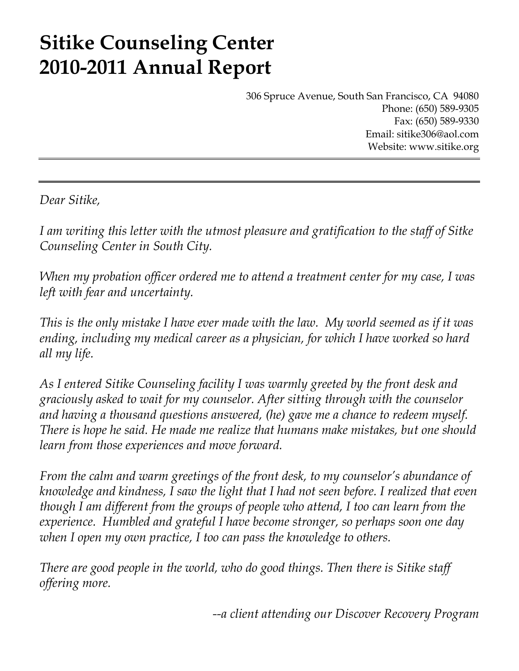# **Sitike Counseling Center 2010-2011 Annual Report**

306 Spruce Avenue, South San Francisco, CA 94080 Phone: (650) 589-9305 Fax: (650) 589-9330 Email: sitike306@aol.com Website: www.sitike.org

*Dear Sitike,* 

*I am writing this letter with the utmost pleasure and gratification to the staff of Sitke Counseling Center in South City.* 

*When my probation officer ordered me to attend a treatment center for my case, I was left with fear and uncertainty.* 

*This is the only mistake I have ever made with the law. My world seemed as if it was ending, including my medical career as a physician, for which I have worked so hard all my life.* 

*As I entered Sitike Counseling facility I was warmly greeted by the front desk and graciously asked to wait for my counselor. After sitting through with the counselor and having a thousand questions answered, (he) gave me a chance to redeem myself. There is hope he said. He made me realize that humans make mistakes, but one should learn from those experiences and move forward.* 

*From the calm and warm greetings of the front desk, to my counselor's abundance of knowledge and kindness, I saw the light that I had not seen before. I realized that even though I am different from the groups of people who attend, I too can learn from the experience. Humbled and grateful I have become stronger, so perhaps soon one day when I open my own practice, I too can pass the knowledge to others.* 

*There are good people in the world, who do good things. Then there is Sitike staff offering more.* 

*--a client attending our Discover Recovery Program*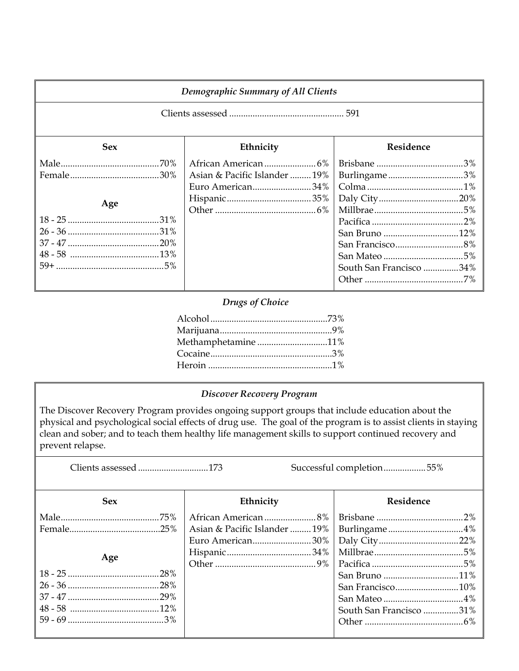| <b>Demographic Summary of All Clients</b> |                                                   |                                         |  |
|-------------------------------------------|---------------------------------------------------|-----------------------------------------|--|
|                                           |                                                   |                                         |  |
| <b>Sex</b>                                | Ethnicity                                         | Residence                               |  |
| Age                                       | Asian & Pacific Islander  19%<br>Euro American34% | Burlingame3%<br>South San Francisco 34% |  |

## *Drugs of Choice*

| Methamphetamine 11%                                                                                                |
|--------------------------------------------------------------------------------------------------------------------|
|                                                                                                                    |
| Heroin $\ldots$ $\ldots$ $\ldots$ $\ldots$ $\ldots$ $\ldots$ $\ldots$ $\ldots$ $\ldots$ $\ldots$ $\ldots$ $\ldots$ |

## *Discover Recovery Program*

The Discover Recovery Program provides ongoing support groups that include education about the physical and psychological social effects of drug use. The goal of the program is to assist clients in staying clean and sober; and to teach them healthy life management skills to support continued recovery and prevent relapse.

Clients assessed ...............................173 Successful completion ....................55%

| <b>Sex</b> | Ethnicity                    | Residence               |
|------------|------------------------------|-------------------------|
|            |                              |                         |
|            | Asian & Pacific Islander 19% |                         |
|            | Euro American30%             |                         |
|            |                              |                         |
| Age        |                              |                         |
|            |                              |                         |
|            |                              | San Francisco10%        |
|            |                              |                         |
|            |                              | South San Francisco 31% |
|            |                              |                         |
|            |                              |                         |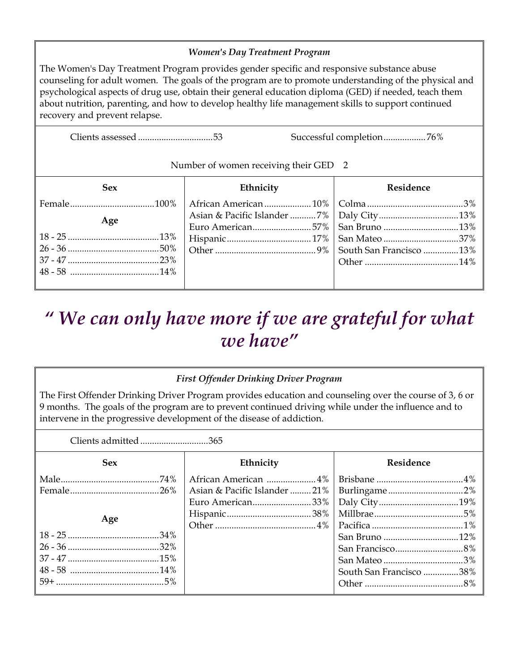## *Women's Day Treatment Program*

The Women's Day Treatment Program provides gender specific and responsive substance abuse counseling for adult women. The goals of the program are to promote understanding of the physical and psychological aspects of drug use, obtain their general education diploma (GED) if needed, teach them about nutrition, parenting, and how to develop healthy life management skills to support continued recovery and prevent relapse.

Clients assessed ................................ 53 Successful completion .................. 76%

### Number of women receiving their GED 2

| <b>Sex</b> | Ethnicity                                   | Residence |
|------------|---------------------------------------------|-----------|
|            |                                             |           |
| Age        | Asian & Pacific Islander 7%   Daly City 13% |           |
|            |                                             |           |
|            |                                             |           |
|            |                                             |           |
|            |                                             |           |
|            |                                             |           |
|            |                                             |           |

## *" We can only have more if we are grateful for what we have"*

## *First Offender Drinking Driver Program*

The First Offender Drinking Driver Program provides education and counseling over the course of 3, 6 or 9 months. The goals of the program are to prevent continued driving while under the influence and to intervene in the progressive development of the disease of addiction.

| Clients admitted 365 |                              |                         |
|----------------------|------------------------------|-------------------------|
| <b>Sex</b>           | Ethnicity                    | Residence               |
|                      | African American 4%          |                         |
|                      | Asian & Pacific Islander 21% |                         |
|                      | Euro American33%             |                         |
|                      |                              |                         |
| Age                  |                              |                         |
|                      |                              |                         |
|                      |                              |                         |
|                      |                              |                         |
|                      |                              | South San Francisco 38% |
|                      |                              |                         |